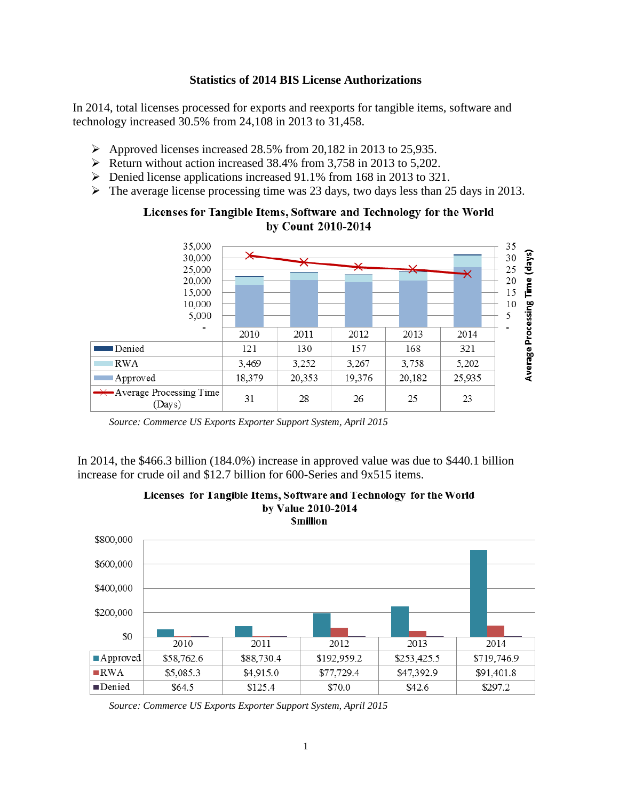## **Statistics of 2014 BIS License Authorizations**

In 2014, total licenses processed for exports and reexports for tangible items, software and technology increased 30.5% from 24,108 in 2013 to 31,458.

- $\triangleright$  Approved licenses increased 28.5% from 20,182 in 2013 to 25,935.
- $\triangleright$  Return without action increased 38.4% from 3,758 in 2013 to 5,202.
- Denied license applications increased 91.1% from 168 in 2013 to 321.
- $\triangleright$  The average license processing time was 23 days, two days less than 25 days in 2013.



## Licenses for Tangible Items, Software and Technology for the World by Count 2010-2014

*Source: Commerce US Exports Exporter Support System, April 2015*

In 2014, the \$466.3 billion (184.0%) increase in approved value was due to \$440.1 billion increase for crude oil and \$12.7 billion for 600-Series and 9x515 items.



Licenses for Tangible Items, Software and Technology for the World by Value 2010-2014

*Source: Commerce US Exports Exporter Support System, April 2015*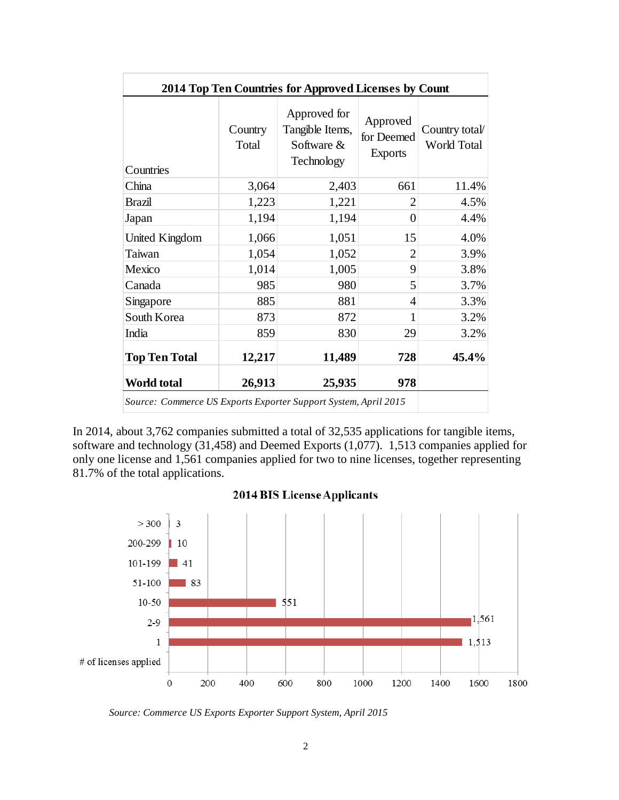| 2014 Top Ten Countries for Approved Licenses by Count           |                  |                                                             |                                          |                               |
|-----------------------------------------------------------------|------------------|-------------------------------------------------------------|------------------------------------------|-------------------------------|
| Countries                                                       | Country<br>Total | Approved for<br>Tangible Items,<br>Software &<br>Technology | Approved<br>for Deemed<br><b>Exports</b> | Country total/<br>World Total |
| China                                                           | 3,064            | 2,403                                                       | 661                                      | 11.4%                         |
| <b>Brazil</b>                                                   | 1,223            | 1,221                                                       | $\overline{2}$                           | 4.5%                          |
| Japan                                                           | 1,194            | 1,194                                                       | 0                                        | 4.4%                          |
| United Kingdom                                                  | 1,066            | 1,051                                                       | 15                                       | 4.0%                          |
| Taiwan                                                          | 1,054            | 1,052                                                       | $\overline{2}$                           | 3.9%                          |
| Mexico                                                          | 1,014            | 1,005                                                       | 9                                        | 3.8%                          |
| Canada                                                          | 985              | 980                                                         | 5                                        | 3.7%                          |
| Singapore                                                       | 885              | 881                                                         | 4                                        | 3.3%                          |
| South Korea                                                     | 873              | 872                                                         | 1                                        | 3.2%                          |
| India                                                           | 859              | 830                                                         | 29                                       | 3.2%                          |
| <b>Top Ten Total</b>                                            | 12,217           | 11,489                                                      | 728                                      | 45.4%                         |
| World total                                                     | 26,913           | 25,935                                                      | 978                                      |                               |
| Source: Commerce US Exports Exporter Support System, April 2015 |                  |                                                             |                                          |                               |

In 2014, about 3,762 companies submitted a total of 32,535 applications for tangible items, software and technology (31,458) and Deemed Exports (1,077). 1,513 companies applied for only one license and 1,561 companies applied for two to nine licenses, together representing 81.7% of the total applications.



## **2014 BIS License Applicants**

*Source: Commerce US Exports Exporter Support System, April 2015*